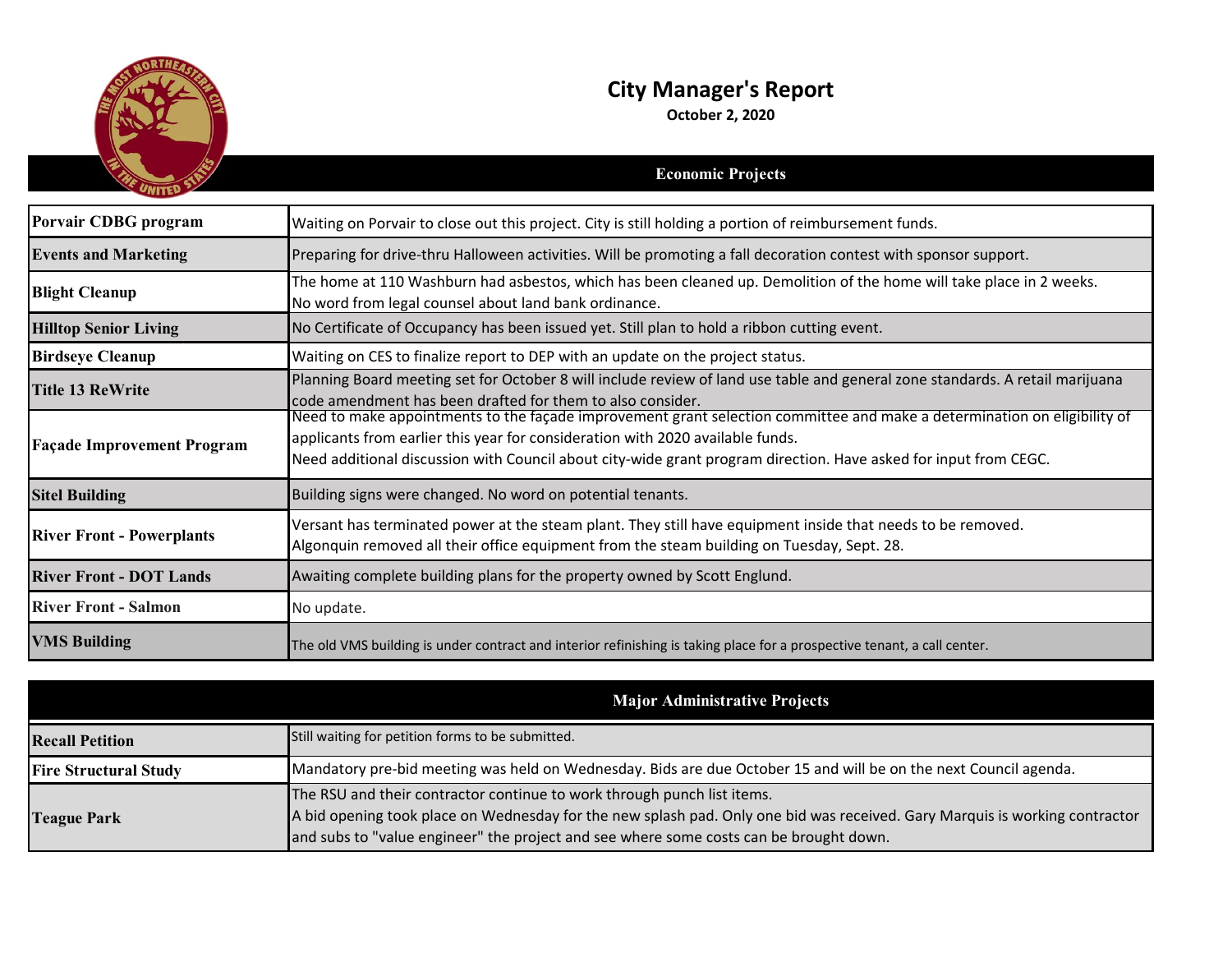

## **City Manager's Report**

**October 2, 2020**

|                                   | <b>Economic Projects</b>                                                                                                                                                                                                                                                                                                       |
|-----------------------------------|--------------------------------------------------------------------------------------------------------------------------------------------------------------------------------------------------------------------------------------------------------------------------------------------------------------------------------|
|                                   |                                                                                                                                                                                                                                                                                                                                |
| Porvair CDBG program              | Waiting on Porvair to close out this project. City is still holding a portion of reimbursement funds.                                                                                                                                                                                                                          |
| <b>Events and Marketing</b>       | Preparing for drive-thru Halloween activities. Will be promoting a fall decoration contest with sponsor support.                                                                                                                                                                                                               |
| <b>Blight Cleanup</b>             | The home at 110 Washburn had asbestos, which has been cleaned up. Demolition of the home will take place in 2 weeks.<br>No word from legal counsel about land bank ordinance.                                                                                                                                                  |
| <b>Hilltop Senior Living</b>      | No Certificate of Occupancy has been issued yet. Still plan to hold a ribbon cutting event.                                                                                                                                                                                                                                    |
| <b>Birdseye Cleanup</b>           | Waiting on CES to finalize report to DEP with an update on the project status.                                                                                                                                                                                                                                                 |
| <b>Title 13 ReWrite</b>           | Planning Board meeting set for October 8 will include review of land use table and general zone standards. A retail marijuana<br>code amendment has been drafted for them to also consider.                                                                                                                                    |
| <b>Façade Improvement Program</b> | Need to make appointments to the façade improvement grant selection committee and make a determination on eligibility of<br>applicants from earlier this year for consideration with 2020 available funds.<br>Need additional discussion with Council about city-wide grant program direction. Have asked for input from CEGC. |
| <b>Sitel Building</b>             | Building signs were changed. No word on potential tenants.                                                                                                                                                                                                                                                                     |
| <b>River Front - Powerplants</b>  | Versant has terminated power at the steam plant. They still have equipment inside that needs to be removed.<br>Algonquin removed all their office equipment from the steam building on Tuesday, Sept. 28.                                                                                                                      |
| <b>River Front - DOT Lands</b>    | Awaiting complete building plans for the property owned by Scott Englund.                                                                                                                                                                                                                                                      |
| <b>River Front - Salmon</b>       | No update.                                                                                                                                                                                                                                                                                                                     |
| <b>VMS Building</b>               | The old VMS building is under contract and interior refinishing is taking place for a prospective tenant, a call center.                                                                                                                                                                                                       |

|                              | <b>Major Administrative Projects</b>                                                                                                                                                                                                                                                             |
|------------------------------|--------------------------------------------------------------------------------------------------------------------------------------------------------------------------------------------------------------------------------------------------------------------------------------------------|
| <b>Recall Petition</b>       | Still waiting for petition forms to be submitted.                                                                                                                                                                                                                                                |
| <b>Fire Structural Study</b> | Mandatory pre-bid meeting was held on Wednesday. Bids are due October 15 and will be on the next Council agenda.                                                                                                                                                                                 |
| <b>Teague Park</b>           | The RSU and their contractor continue to work through punch list items.<br>A bid opening took place on Wednesday for the new splash pad. Only one bid was received. Gary Marquis is working contractor<br>and subs to "value engineer" the project and see where some costs can be brought down. |